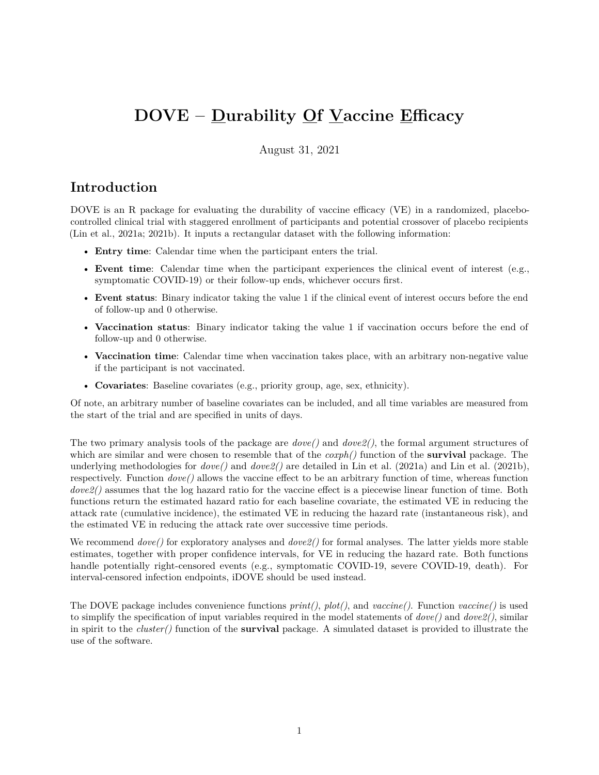# **DOVE – Durability Of Vaccine Efficacy**

August 31, 2021

### **Introduction**

DOVE is an R package for evaluating the durability of vaccine efficacy (VE) in a randomized, placebocontrolled clinical trial with staggered enrollment of participants and potential crossover of placebo recipients (Lin et al., 2021a; 2021b). It inputs a rectangular dataset with the following information:

- **Entry time**: Calendar time when the participant enters the trial.
- **Event time**: Calendar time when the participant experiences the clinical event of interest (e.g., symptomatic COVID-19) or their follow-up ends, whichever occurs first.
- **Event status**: Binary indicator taking the value 1 if the clinical event of interest occurs before the end of follow-up and 0 otherwise.
- **Vaccination status**: Binary indicator taking the value 1 if vaccination occurs before the end of follow-up and 0 otherwise.
- **Vaccination time**: Calendar time when vaccination takes place, with an arbitrary non-negative value if the participant is not vaccinated.
- **Covariates**: Baseline covariates (e.g., priority group, age, sex, ethnicity).

Of note, an arbitrary number of baseline covariates can be included, and all time variables are measured from the start of the trial and are specified in units of days.

The two primary analysis tools of the package are *dove()* and *dove2()*, the formal argument structures of which are similar and were chosen to resemble that of the *coxph()* function of the **survival** package. The underlying methodologies for *dove()* and *dove2()* are detailed in Lin et al. (2021a) and Lin et al. (2021b), respectively. Function *dove()* allows the vaccine effect to be an arbitrary function of time, whereas function *dove2()* assumes that the log hazard ratio for the vaccine effect is a piecewise linear function of time. Both functions return the estimated hazard ratio for each baseline covariate, the estimated VE in reducing the attack rate (cumulative incidence), the estimated VE in reducing the hazard rate (instantaneous risk), and the estimated VE in reducing the attack rate over successive time periods.

We recommend *dove()* for exploratory analyses and *dove2()* for formal analyses. The latter yields more stable estimates, together with proper confidence intervals, for VE in reducing the hazard rate. Both functions handle potentially right-censored events (e.g., symptomatic COVID-19, severe COVID-19, death). For interval-censored infection endpoints, iDOVE should be used instead.

The DOVE package includes convenience functions *print()*, *plot()*, and *vaccine()*. Function *vaccine()* is used to simplify the specification of input variables required in the model statements of *dove()* and *dove2()*, similar in spirit to the *cluster()* function of the **survival** package. A simulated dataset is provided to illustrate the use of the software.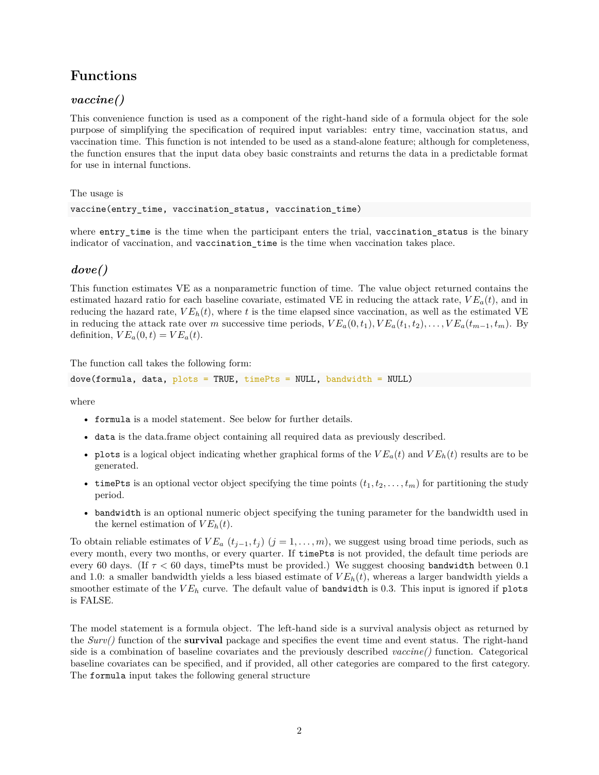### **Functions**

#### *vaccine()*

This convenience function is used as a component of the right-hand side of a formula object for the sole purpose of simplifying the specification of required input variables: entry time, vaccination status, and vaccination time. This function is not intended to be used as a stand-alone feature; although for completeness, the function ensures that the input data obey basic constraints and returns the data in a predictable format for use in internal functions.

The usage is

vaccine(entry\_time, vaccination\_status, vaccination\_time)

where entry\_time is the time when the participant enters the trial, vaccination\_status is the binary indicator of vaccination, and vaccination\_time is the time when vaccination takes place.

#### *dove()*

This function estimates VE as a nonparametric function of time. The value object returned contains the estimated hazard ratio for each baseline covariate, estimated VE in reducing the attack rate,  $VE_a(t)$ , and in reducing the hazard rate,  $VE_h(t)$ , where t is the time elapsed since vaccination, as well as the estimated VE in reducing the attack rate over *m* successive time periods,  $VE_a(0, t_1), VE_a(t_1, t_2), \ldots, VE_a(t_{m-1}, t_m)$ . By definition,  $VE_a(0, t) = VE_a(t)$ .

The function call takes the following form:

dove(formula, data, plots = TRUE, timePts = NULL, bandwidth = NULL)

where

- formula is a model statement. See below for further details.
- data is the data.frame object containing all required data as previously described.
- plots is a logical object indicating whether graphical forms of the  $VE_a(t)$  and  $VE_h(t)$  results are to be generated.
- timePts is an optional vector object specifying the time points  $(t_1, t_2, \ldots, t_m)$  for partitioning the study period.
- bandwidth is an optional numeric object specifying the tuning parameter for the bandwidth used in the kernel estimation of  $VE<sub>h</sub>(t)$ .

To obtain reliable estimates of  $VE_a$   $(t_{j-1}, t_j)$   $(j = 1, \ldots, m)$ , we suggest using broad time periods, such as every month, every two months, or every quarter. If timePts is not provided, the default time periods are every 60 days. (If *τ <* 60 days, timePts must be provided.) We suggest choosing bandwidth between 0.1 and 1.0: a smaller bandwidth yields a less biased estimate of *V Eh*(*t*), whereas a larger bandwidth yields a smoother estimate of the  $VE<sub>h</sub>$  curve. The default value of bandwidth is 0.3. This input is ignored if plots is FALSE.

The model statement is a formula object. The left-hand side is a survival analysis object as returned by the *Surv()* function of the **survival** package and specifies the event time and event status. The right-hand side is a combination of baseline covariates and the previously described *vaccine()* function. Categorical baseline covariates can be specified, and if provided, all other categories are compared to the first category. The formula input takes the following general structure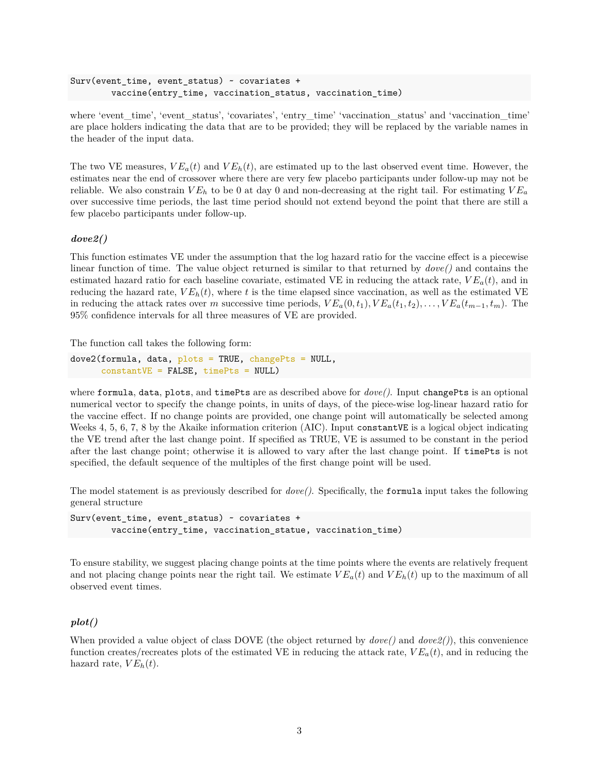```
Surv(event_time, event_status) ~ covariates +
        vaccine(entry_time, vaccination_status, vaccination_time)
```
where 'event\_time', 'event\_status', 'covariates', 'entry\_time' 'vaccination status' and 'vaccination time' are place holders indicating the data that are to be provided; they will be replaced by the variable names in the header of the input data.

The two VE measures,  $VE_a(t)$  and  $VE_b(t)$ , are estimated up to the last observed event time. However, the estimates near the end of crossover where there are very few placebo participants under follow-up may not be reliable. We also constrain  $VE<sub>h</sub>$  to be 0 at day 0 and non-decreasing at the right tail. For estimating  $VE<sub>a</sub>$ over successive time periods, the last time period should not extend beyond the point that there are still a few placebo participants under follow-up.

#### *dove2()*

This function estimates VE under the assumption that the log hazard ratio for the vaccine effect is a piecewise linear function of time. The value object returned is similar to that returned by *dove()* and contains the estimated hazard ratio for each baseline covariate, estimated VE in reducing the attack rate,  $VE_a(t)$ , and in reducing the hazard rate,  $VE_h(t)$ , where t is the time elapsed since vaccination, as well as the estimated VE in reducing the attack rates over *m* successive time periods,  $VE_a(0, t_1), VE_a(t_1, t_2), \ldots, VE_a(t_{m-1}, t_m)$ . The 95% confidence intervals for all three measures of VE are provided.

The function call takes the following form:

```
dove2(formula, data, plots = TRUE, changePts = NULL,constantVE = FALSE, timePts = NULL)
```
where formula, data, plots, and timePts are as described above for *dove()*. Input changePts is an optional numerical vector to specify the change points, in units of days, of the piece-wise log-linear hazard ratio for the vaccine effect. If no change points are provided, one change point will automatically be selected among Weeks 4, 5, 6, 7, 8 by the Akaike information criterion (AIC). Input constantVE is a logical object indicating the VE trend after the last change point. If specified as TRUE, VE is assumed to be constant in the period after the last change point; otherwise it is allowed to vary after the last change point. If timePts is not specified, the default sequence of the multiples of the first change point will be used.

The model statement is as previously described for *dove()*. Specifically, the formula input takes the following general structure

Surv(event time, event status)  $\sim$  covariates + vaccine(entry\_time, vaccination\_statue, vaccination\_time)

To ensure stability, we suggest placing change points at the time points where the events are relatively frequent and not placing change points near the right tail. We estimate  $VE_a(t)$  and  $VE_h(t)$  up to the maximum of all observed event times.

#### *plot()*

When provided a value object of class DOVE (the object returned by  $dove()$  and  $dove2()$ ), this convenience function creates/recreates plots of the estimated VE in reducing the attack rate,  $VE_a(t)$ , and in reducing the hazard rate,  $VE<sub>h</sub>(t)$ .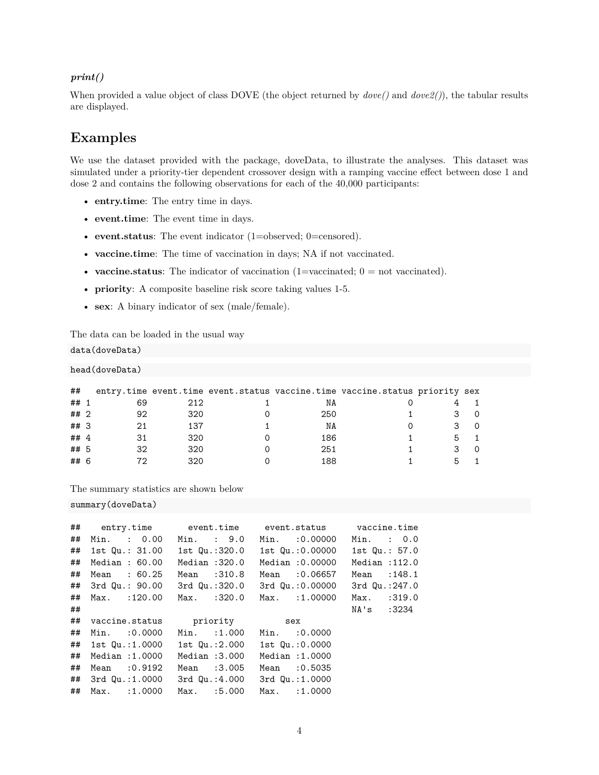#### *print()*

When provided a value object of class DOVE (the object returned by *dove()* and *dove2()*), the tabular results are displayed.

### **Examples**

We use the dataset provided with the package, doveData, to illustrate the analyses. This dataset was simulated under a priority-tier dependent crossover design with a ramping vaccine effect between dose 1 and dose 2 and contains the following observations for each of the 40,000 participants:

- **entry.time**: The entry time in days.
- **event.time**: The event time in days.
- **event.status**: The event indicator (1=observed; 0=censored).
- **vaccine.time**: The time of vaccination in days; NA if not vaccinated.
- **vaccine.status**: The indicator of vaccination (1=vaccinated; 0 = not vaccinated).
- **priority**: A composite baseline risk score taking values 1-5.
- **sex**: A binary indicator of sex (male/female).

The data can be loaded in the usual way

data(doveData)

head(doveData)

| ##     |    |     |     | entry.time event.time event.status vaccine.time vaccine.status priority sex |  |
|--------|----|-----|-----|-----------------------------------------------------------------------------|--|
| ##     | 69 | 212 | NA  |                                                                             |  |
| ##2    | 92 | 320 | 250 |                                                                             |  |
| ##3    |    | 137 | ΝA  |                                                                             |  |
| ## $4$ |    | 320 | 186 |                                                                             |  |
| ## 5   | 32 | 320 | 251 |                                                                             |  |
| ## 6   |    | 320 | 188 |                                                                             |  |

The summary statistics are shown below

summary(doveData)

|    |                                                |               | ## entry.time                 event.time               event.status            vaccine.time |                |
|----|------------------------------------------------|---------------|---------------------------------------------------------------------------------------------|----------------|
|    |                                                |               | ## Min. : 0.00 Min. : 9.0 Min. :0.00000 Min. : 0.0                                          |                |
|    |                                                |               |                                                                                             | 1st Qu.: 57.0  |
|    | ## Median : 60.00                              | Median :320.0 | Median :0.00000                                                                             | Median : 112.0 |
|    | ## Mean : 60.25                                | Mean :310.8   | Mean :0.06657                                                                               | Mean : 148.1   |
|    |                                                |               | ## 3rd Qu.: 90.00 3rd Qu.:320.0 3rd Qu.:0.00000                                             | 3rd Qu.:247.0  |
|    | ## Max. :120.00                                | Max. :320.0   | Max. :1.00000                                                                               | Max. : 319.0   |
| ## |                                                |               |                                                                                             | NA's :3234     |
|    | ## vaccine.status priority sex                 |               |                                                                                             |                |
|    | ## Min. :0.0000 Min. :1.000                    |               | Min. :0.0000                                                                                |                |
|    | ## 1st Qu.:1.0000 1st Qu.:2.000 1st Qu.:0.0000 |               |                                                                                             |                |
|    | ## Median :1.0000                              | Median :3.000 | Median :1.0000                                                                              |                |
|    | ## Mean :0.9192                                | Mean :3.005   | Mean : 0.5035                                                                               |                |
|    | ## 3rd Qu.:1.0000 3rd Qu.:4.000                |               | 3rd Qu.:1.0000                                                                              |                |
|    | ## Max. :1.0000                                | Max. :5.000   | Max. : 1.0000                                                                               |                |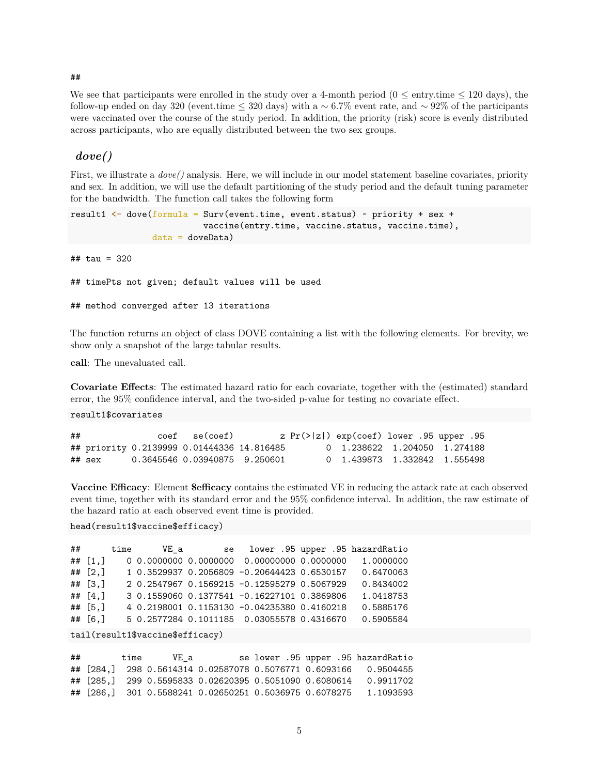#### ##

We see that participants were enrolled in the study over a 4-month period ( $0 \le$  entry.time  $\le$  120 days), the follow-up ended on day 320 (event.time ≤ 320 days) with a ∼ 6*.*7% event rate, and ∼ 92% of the participants were vaccinated over the course of the study period. In addition, the priority (risk) score is evenly distributed across participants, who are equally distributed between the two sex groups.

#### *dove()*

First, we illustrate a *dove()* analysis. Here, we will include in our model statement baseline covariates, priority and sex. In addition, we will use the default partitioning of the study period and the default tuning parameter for the bandwidth. The function call takes the following form

```
result1 \leq dove(formula = Surv(event.time, event.status) \sim priority + sex +
                           vaccine(entry.time, vaccine.status, vaccine.time),
                data = doveData)
```
## tau = 320

## timePts not given; default values will be used

```
## method converged after 13 iterations
```
The function returns an object of class DOVE containing a list with the following elements. For brevity, we show only a snapshot of the large tabular results.

**call**: The unevaluated call.

**Covariate Effects**: The estimated hazard ratio for each covariate, together with the (estimated) standard error, the 95% confidence interval, and the two-sided p-value for testing no covariate effect.

result1\$covariates

| ## |        | coef se(coef)                              |  | z $Pr(> z )$ exp(coef) lower .95 upper .95 |  |  |
|----|--------|--------------------------------------------|--|--------------------------------------------|--|--|
|    |        | ## priority 0.2139999 0.01444336 14.816485 |  | 0 1.238622 1.204050 1.274188               |  |  |
|    | ## sex | 0.3645546 0.03940875 9.250601              |  | 0 1.439873 1.332842 1.555498               |  |  |

**Vaccine Efficacy**: Element **\$efficacy** contains the estimated VE in reducing the attack rate at each observed event time, together with its standard error and the 95% confidence interval. In addition, the raw estimate of the hazard ratio at each observed event time is provided.

```
head(result1$vaccine$efficacy)
```

|            |  |                                             | ## time VE_a se lower .95 upper .95 hazardRatio |
|------------|--|---------------------------------------------|-------------------------------------------------|
| ## $[1,]$  |  |                                             | 1.0000000                                       |
| ## $[2,]$  |  | 1 0.3529937 0.2056809 -0.20644423 0.6530157 | 0.6470063                                       |
| ## $[3.]$  |  | 2 0.2547967 0.1569215 -0.12595279 0.5067929 | 0.8434002                                       |
| ## $[4.]$  |  | 3 0.1559060 0.1377541 -0.16227101 0.3869806 | 1.0418753                                       |
| $##$ [5.]  |  | 4 0.2198001 0.1153130 -0.04235380 0.4160218 | 0.5885176                                       |
| ## $[6, ]$ |  | 5 0.2577284 0.1011185 0.03055578 0.4316670  | 0.5905584                                       |

```
tail(result1$vaccine$efficacy)
```
## time VE\_a se lower .95 upper .95 hazardRatio ## [284,] 298 0.5614314 0.02587078 0.5076771 0.6093166 0.9504455 ## [285,] 299 0.5595833 0.02620395 0.5051090 0.6080614 0.9911702 ## [286,] 301 0.5588241 0.02650251 0.5036975 0.6078275 1.1093593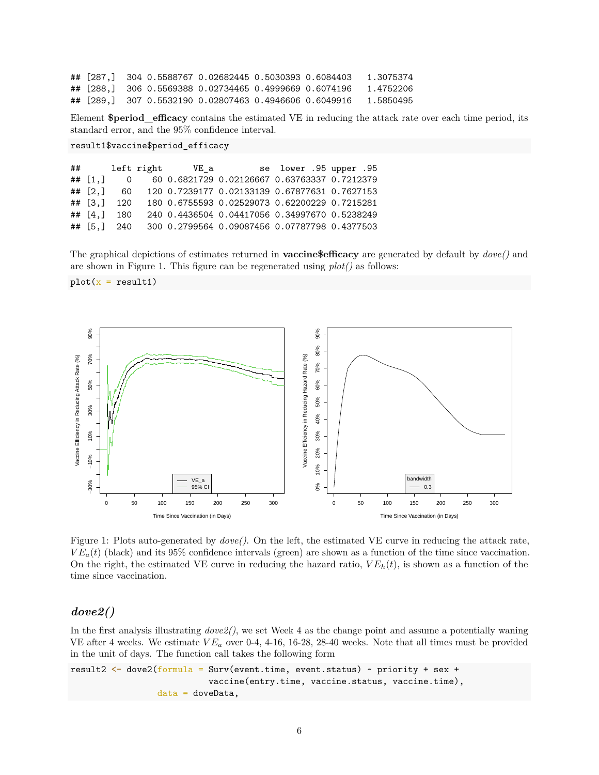## [287,] 304 0.5588767 0.02682445 0.5030393 0.6084403 1.3075374 ## [288,] 306 0.5569388 0.02734465 0.4999669 0.6074196 1.4752206 ## [289,] 307 0.5532190 0.02807463 0.4946606 0.6049916 1.5850495

Element **\$period\_efficacy** contains the estimated VE in reducing the attack rate over each time period, its standard error, and the 95% confidence interval.

```
result1$vaccine$period_efficacy
```
## left right VE\_a se lower .95 upper .95 ## [1,] 0 60 0.6821729 0.02126667 0.63763337 0.7212379 ## [2,] 60 120 0.7239177 0.02133139 0.67877631 0.7627153 ## [3,] 120 180 0.6755593 0.02529073 0.62200229 0.7215281 ## [4,] 180 240 0.4436504 0.04417056 0.34997670 0.5238249 ## [5,] 240 300 0.2799564 0.09087456 0.07787798 0.4377503

The graphical depictions of estimates returned in **vaccine\$efficacy** are generated by default by *dove()* and are shown in Figure [1.](#page-5-0) This figure can be regenerated using *plot()* as follows:

<span id="page-5-0"></span> $plot(x = result1)$ 



Figure 1: Plots auto-generated by *dove()*. On the left, the estimated VE curve in reducing the attack rate,  $VE_a(t)$  (black) and its 95% confidence intervals (green) are shown as a function of the time since vaccination. On the right, the estimated VE curve in reducing the hazard ratio,  $VE<sub>h</sub>(t)$ , is shown as a function of the time since vaccination.

#### *dove2()*

In the first analysis illustrating *dove2()*, we set Week 4 as the change point and assume a potentially waning VE after 4 weeks. We estimate *V E<sup>a</sup>* over 0-4, 4-16, 16-28, 28-40 weeks. Note that all times must be provided in the unit of days. The function call takes the following form

```
result2 <- dove2(formula = Surv(event.time, event.status) ~ priority + sex +
                           vaccine(entry.time, vaccine.status, vaccine.time),
                 data = doveData,
```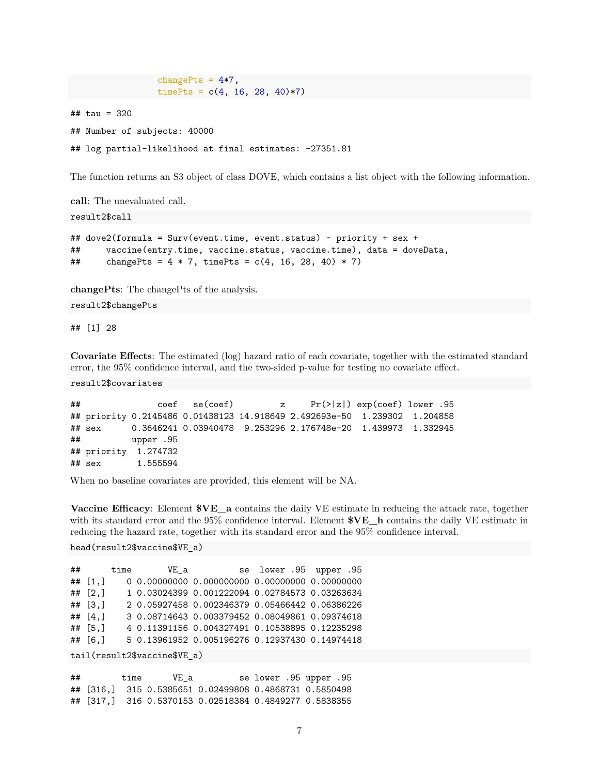```
timePts = c(4, 16, 28, 40)*7)## tau = 320
## Number of subjects: 40000
## log partial-likelihood at final estimates: -27351.81
```
changePts =  $4*7$ ,

The function returns an S3 object of class DOVE, which contains a list object with the following information.

**call**: The unevaluated call.

result2\$call

```
## dove2(formula = Surv(event.time, event.status) ~ priority + sex +
## vaccine(entry.time, vaccine.status, vaccine.time), data = doveData,
## changePts = 4 * 7, timePts = c(4, 16, 28, 40) * 7)
```
**changePts**: The changePts of the analysis.

result2\$changePts

## [1] 28

**Covariate Effects**: The estimated (log) hazard ratio of each covariate, together with the estimated standard error, the 95% confidence interval, and the two-sided p-value for testing no covariate effect.

result2\$covariates

```
## coef se(coef) z Pr(>|z|) exp(coef) lower .95
## priority 0.2145486 0.01438123 14.918649 2.492693e-50 1.239302 1.204858
## sex 0.3646241 0.03940478 9.253296 2.176748e-20 1.439973 1.332945
## upper .95
## priority 1.274732
## sex 1.555594
```
When no baseline covariates are provided, this element will be NA.

**Vaccine Efficacy**: Element **\$VE\_a** contains the daily VE estimate in reducing the attack rate, together with its standard error and the 95% confidence interval. Element **\$VE\_h** contains the daily VE estimate in reducing the hazard rate, together with its standard error and the 95% confidence interval.

head(result2\$vaccine\$VE\_a)

```
## time VE_a se lower .95 upper .95
## [1,] 0 0.00000000 0.000000000 0.00000000 0.00000000
## [2,] 1 0.03024399 0.001222094 0.02784573 0.03263634
## [3,] 2 0.05927458 0.002346379 0.05466442 0.06386226
## [4,] 3 0.08714643 0.003379452 0.08049861 0.09374618
## [5,] 4 0.11391156 0.004327491 0.10538895 0.12235298
## [6,] 5 0.13961952 0.005196276 0.12937430 0.14974418
tail(result2$vaccine$VE_a)
```

```
## time VE_a se lower .95 upper .95
## [316,] 315 0.5385651 0.02499808 0.4868731 0.5850498
## [317,] 316 0.5370153 0.02518384 0.4849277 0.5838355
```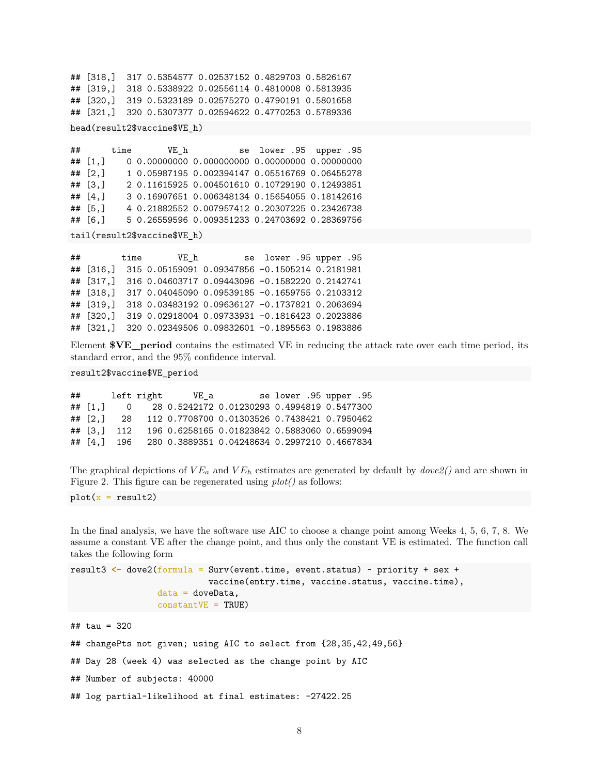## [318,] 317 0.5354577 0.02537152 0.4829703 0.5826167 ## [319,] 318 0.5338922 0.02556114 0.4810008 0.5813935 ## [320,] 319 0.5323189 0.02575270 0.4790191 0.5801658 ## [321,] 320 0.5307377 0.02594622 0.4770253 0.5789336

head(result2\$vaccine\$VE\_h)

## time VE\_h se lower .95 upper .95 ## [1,] 0 0.00000000 0.000000000 0.00000000 0.00000000 ## [2,] 1 0.05987195 0.002394147 0.05516769 0.06455278 ## [3,] 2 0.11615925 0.004501610 0.10729190 0.12493851 ## [4,] 3 0.16907651 0.006348134 0.15654055 0.18142616 ## [5,] 4 0.21882552 0.007957412 0.20307225 0.23426738 ## [6,] 5 0.26559596 0.009351233 0.24703692 0.28369756

tail(result2\$vaccine\$VE\_h)

## time VE\_h se lower .95 upper .95 ## [316,] 315 0.05159091 0.09347856 -0.1505214 0.2181981 ## [317,] 316 0.04603717 0.09443096 -0.1582220 0.2142741 ## [318,] 317 0.04045090 0.09539185 -0.1659755 0.2103312 ## [319,] 318 0.03483192 0.09636127 -0.1737821 0.2063694 ## [320,] 319 0.02918004 0.09733931 -0.1816423 0.2023886 ## [321,] 320 0.02349506 0.09832601 -0.1895563 0.1983886

Element **\$VE\_period** contains the estimated VE in reducing the attack rate over each time period, its standard error, and the 95% confidence interval.

result2\$vaccine\$VE\_period

## left right VE\_a se lower .95 upper .95 ## [1,] 0 28 0.5242172 0.01230293 0.4994819 0.5477300 ## [2,] 28 112 0.7708700 0.01303526 0.7438421 0.7950462 ## [3,] 112 196 0.6258165 0.01823842 0.5883060 0.6599094 ## [4,] 196 280 0.3889351 0.04248634 0.2997210 0.4667834

The graphical depictions of  $VE_a$  and  $VE_h$  estimates are generated by default by  $dove2()$  and are shown in Figure [2.](#page-8-0) This figure can be regenerated using *plot()* as follows:

 $plot(x = result2)$ 

In the final analysis, we have the software use AIC to choose a change point among Weeks 4, 5, 6, 7, 8. We assume a constant VE after the change point, and thus only the constant VE is estimated. The function call takes the following form

```
result3 \leq dove2(formula = Surv(event.time, event.status) \sim priority + sex +
                           vaccine(entry.time, vaccine.status, vaccine.time),
                 data = doveData,constantVE = TRUE)
## tau = 320
## changePts not given; using AIC to select from {28,35,42,49,56}
## Day 28 (week 4) was selected as the change point by AIC
## Number of subjects: 40000
## log partial-likelihood at final estimates: -27422.25
```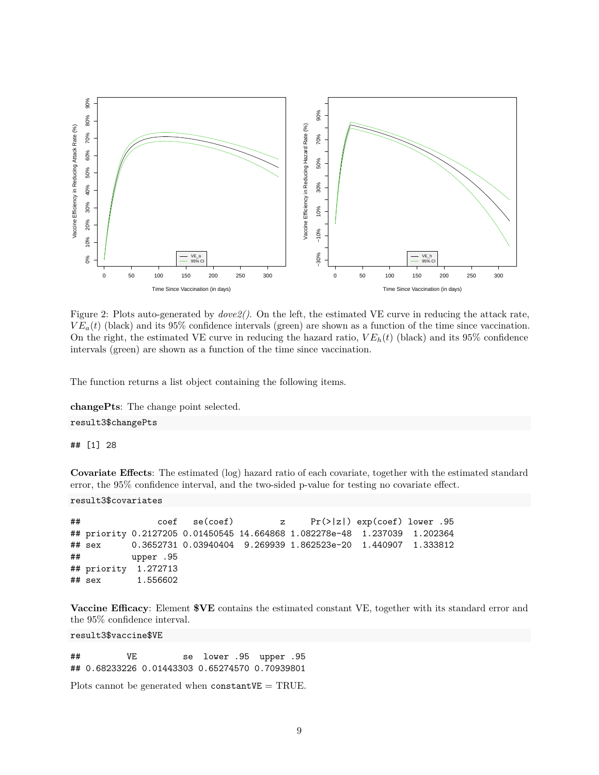<span id="page-8-0"></span>

Figure 2: Plots auto-generated by *dove2()*. On the left, the estimated VE curve in reducing the attack rate,  $VE_a(t)$  (black) and its 95% confidence intervals (green) are shown as a function of the time since vaccination. On the right, the estimated VE curve in reducing the hazard ratio,  $VE<sub>h</sub>(t)$  (black) and its 95% confidence intervals (green) are shown as a function of the time since vaccination.

The function returns a list object containing the following items.

**changePts**: The change point selected.

result3\$changePts

## [1] 28

**Covariate Effects**: The estimated (log) hazard ratio of each covariate, together with the estimated standard error, the 95% confidence interval, and the two-sided p-value for testing no covariate effect.

#### result3\$covariates

## coef se(coef) z Pr(>|z|) exp(coef) lower .95 ## priority 0.2127205 0.01450545 14.664868 1.082278e-48 1.237039 1.202364 ## sex 0.3652731 0.03940404 9.269939 1.862523e-20 1.440907 1.333812 ## upper .95 ## priority 1.272713 ## sex 1.556602

**Vaccine Efficacy**: Element **\$VE** contains the estimated constant VE, together with its standard error and the 95% confidence interval.

result3\$vaccine\$VE

## VE se lower .95 upper .95 ## 0.68233226 0.01443303 0.65274570 0.70939801

Plots cannot be generated when  $constantVE = TRUE$ .